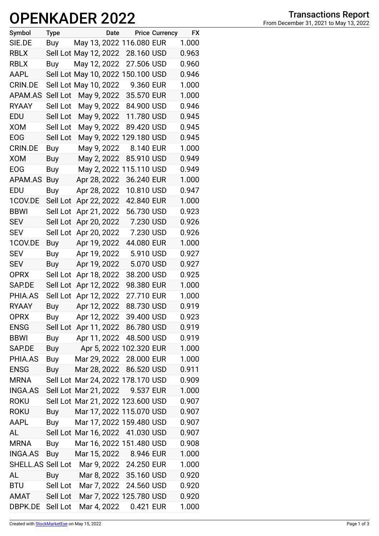## **OPENKADER 2022**

| Symbol            | <b>Type</b> |                       | Date |                                   | <b>Price Currency</b> | <b>FX</b> |
|-------------------|-------------|-----------------------|------|-----------------------------------|-----------------------|-----------|
| SIE.DE            | Buy         |                       |      | May 13, 2022 116.080 EUR          |                       | 1.000     |
| <b>RBLX</b>       |             | Sell Lot May 12, 2022 |      | 28.160 USD                        |                       | 0.963     |
| <b>RBLX</b>       | Buy         | May 12, 2022          |      | 27.506 USD                        |                       | 0.960     |
| AAPL              |             |                       |      | Sell Lot May 10, 2022 150.100 USD |                       | 0.946     |
| <b>CRIN.DE</b>    |             | Sell Lot May 10, 2022 |      | 9.360 EUR                         |                       | 1.000     |
| APAM.AS           | Sell Lot    | May 9, 2022           |      | 35.570 EUR                        |                       | 1.000     |
| <b>RYAAY</b>      | Sell Lot    | May 9, 2022           |      | 84.900 USD                        |                       | 0.946     |
| EDU               | Sell Lot    | May 9, 2022           |      | 11.780 USD                        |                       | 0.945     |
| <b>XOM</b>        | Sell Lot    | May 9, 2022           |      | 89.420 USD                        |                       | 0.945     |
| <b>EOG</b>        | Sell Lot    |                       |      | May 9, 2022 129.180 USD           |                       | 0.945     |
| CRIN.DE           | Buy         | May 9, 2022           |      | 8.140 EUR                         |                       | 1.000     |
| <b>XOM</b>        | Buy         | May 2, 2022           |      | 85.910 USD                        |                       | 0.949     |
| <b>EOG</b>        | Buy         |                       |      | May 2, 2022 115.110 USD           |                       | 0.949     |
| APAM.AS           | Buy         | Apr 28, 2022          |      | 36.240 EUR                        |                       | 1.000     |
| EDU               | Buy         | Apr 28, 2022          |      | 10.810 USD                        |                       | 0.947     |
| 1COV.DE           | Sell Lot    | Apr 22, 2022          |      | 42.840 EUR                        |                       | 1.000     |
| <b>BBWI</b>       | Sell Lot    | Apr 21, 2022          |      | 56.730 USD                        |                       | 0.923     |
| <b>SEV</b>        | Sell Lot    | Apr 20, 2022          |      | 7.230 USD                         |                       | 0.926     |
| <b>SEV</b>        | Sell Lot    | Apr 20, 2022          |      | 7.230 USD                         |                       | 0.926     |
| 1COV.DE           | Buy         | Apr 19, 2022          |      | 44.080 EUR                        |                       | 1.000     |
| <b>SEV</b>        | Buy         | Apr 19, 2022          |      | 5.910 USD                         |                       | 0.927     |
| <b>SEV</b>        | Buy         | Apr 19, 2022          |      | 5.070 USD                         |                       | 0.927     |
| <b>OPRX</b>       | Sell Lot    | Apr 18, 2022          |      | 38.200 USD                        |                       | 0.925     |
| SAP.DE            | Sell Lot    | Apr 12, 2022          |      | 98.380 EUR                        |                       | 1.000     |
| PHIA.AS           | Sell Lot    | Apr 12, 2022          |      | 27.710 EUR                        |                       | 1.000     |
| <b>RYAAY</b>      | Buy         | Apr 12, 2022          |      | 88.730 USD                        |                       | 0.919     |
| <b>OPRX</b>       | <b>Buy</b>  |                       |      | Apr 12, 2022 39.400 USD           |                       | 0.923     |
| <b>ENSG</b>       |             |                       |      | Sell Lot Apr 11, 2022 86.780 USD  |                       | 0.919     |
| <b>BBWI</b>       | Buy         |                       |      | Apr 11, 2022 48.500 USD           |                       | 0.919     |
| SAP.DE            | Buy         |                       |      | Apr 5, 2022 102.320 EUR           |                       | 1.000     |
| PHIA.AS           | Buy         |                       |      | Mar 29, 2022 28.000 EUR           |                       | 1.000     |
| <b>ENSG</b>       | Buy         |                       |      | Mar 28, 2022 86.520 USD           |                       | 0.911     |
| <b>MRNA</b>       |             |                       |      | Sell Lot Mar 24, 2022 178.170 USD |                       | 0.909     |
| <b>INGA.AS</b>    |             |                       |      | Sell Lot Mar 21, 2022 9.537 EUR   |                       | 1.000     |
| <b>ROKU</b>       |             |                       |      | Sell Lot Mar 21, 2022 123.600 USD |                       | 0.907     |
| <b>ROKU</b>       | Buy         |                       |      | Mar 17, 2022 115.070 USD          |                       | 0.907     |
| <b>AAPL</b>       | Buy         |                       |      | Mar 17, 2022 159.480 USD          |                       | 0.907     |
| AL                |             |                       |      | Sell Lot Mar 16, 2022 41.030 USD  |                       | 0.907     |
| <b>MRNA</b>       | Buy         |                       |      | Mar 16, 2022 151.480 USD          |                       | 0.908     |
| <b>INGA.AS</b>    | Buy         |                       |      | Mar 15, 2022 8.946 EUR            |                       | 1.000     |
| SHELL.AS Sell Lot |             |                       |      | Mar 9, 2022 24.250 EUR            |                       | 1.000     |
| AL                | Buy         |                       |      | Mar 8, 2022 35.160 USD            |                       | 0.920     |
| <b>BTU</b>        | Sell Lot    |                       |      | Mar 7, 2022 24.560 USD            |                       | 0.920     |
| AMAT              | Sell Lot    |                       |      | Mar 7, 2022 125.780 USD           |                       | 0.920     |
| DBPK.DE           | Sell Lot    | Mar 4, 2022           |      | 0.421 EUR                         |                       | 1.000     |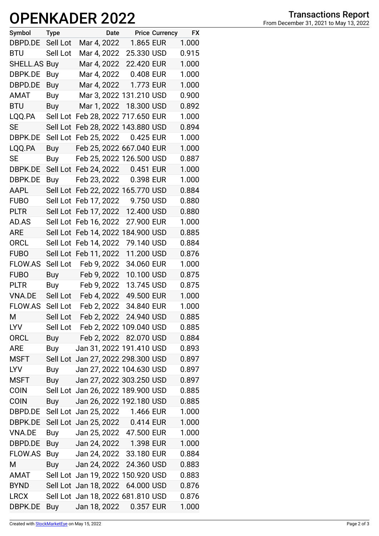## **OPENKADER 2022**

| Symbol              | <b>Type</b> |                                   | Date |            | <b>Price Currency</b> | <b>FX</b> |
|---------------------|-------------|-----------------------------------|------|------------|-----------------------|-----------|
| DBPD.DE             | Sell Lot    | Mar 4, 2022                       |      | 1.865 EUR  |                       | 1.000     |
| <b>BTU</b>          | Sell Lot    | Mar 4, 2022                       |      | 25.330 USD |                       | 0.915     |
| <b>SHELL.AS Buy</b> |             | Mar 4, 2022 22.420 EUR            |      |            |                       | 1.000     |
| DBPK.DE             | Buy         | Mar 4, 2022                       |      | 0.408 EUR  |                       | 1.000     |
| DBPD.DE             | Buy         | Mar 4, 2022                       |      | 1.773 EUR  |                       | 1.000     |
| <b>AMAT</b>         | Buy         | Mar 3, 2022 131.210 USD           |      |            |                       | 0.900     |
| <b>BTU</b>          | Buy         | Mar 1, 2022 18.300 USD            |      |            |                       | 0.892     |
| LQQ.PA              | Sell Lot    | Feb 28, 2022 717.650 EUR          |      |            |                       | 1.000     |
| <b>SE</b>           | Sell Lot    | Feb 28, 2022 143.880 USD          |      |            |                       | 0.894     |
| DBPK.DE             | Sell Lot    | Feb 25, 2022                      |      | 0.425 EUR  |                       | 1.000     |
| LQQ.PA              | Buy         | Feb 25, 2022 667.040 EUR          |      |            |                       | 1.000     |
| SE                  | Buy         | Feb 25, 2022 126.500 USD          |      |            |                       | 0.887     |
| DBPK.DE             |             | Sell Lot Feb 24, 2022             |      | 0.451 EUR  |                       | 1.000     |
| DBPK.DE             | Buy         | Feb 23, 2022                      |      | 0.398 EUR  |                       | 1.000     |
| AAPL                |             | Sell Lot Feb 22, 2022 165.770 USD |      |            |                       | 0.884     |
| <b>FUBO</b>         | Sell Lot    | Feb 17, 2022                      |      | 9.750 USD  |                       | 0.880     |
| <b>PLTR</b>         |             | Sell Lot Feb 17, 2022             |      | 12.400 USD |                       | 0.880     |
| AD.AS               |             | Sell Lot Feb 16, 2022             |      | 27.900 EUR |                       | 1.000     |
| <b>ARE</b>          | Sell Lot    | Feb 14, 2022 184.900 USD          |      |            |                       | 0.885     |
| <b>ORCL</b>         | Sell Lot    | Feb 14, 2022                      |      | 79.140 USD |                       | 0.884     |
| <b>FUBO</b>         | Sell Lot    | Feb 11, 2022                      |      | 11.200 USD |                       | 0.876     |
| <b>FLOW.AS</b>      | Sell Lot    | Feb 9, 2022                       |      | 34.060 EUR |                       | 1.000     |
| <b>FUBO</b>         | <b>Buy</b>  | Feb 9, 2022                       |      | 10.100 USD |                       | 0.875     |
| <b>PLTR</b>         |             | Buy Feb 9, 2022                   |      | 13.745 USD |                       | 0.875     |
| <b>VNA.DE</b>       | Sell Lot    | Feb 4, 2022                       |      | 49.500 EUR |                       | 1.000     |
| <b>FLOW.AS</b>      | Sell Lot    | Feb 2, 2022                       |      | 34.840 EUR |                       | 1.000     |
| М                   | Sell Lot    | Feb 2, 2022 24.940 USD            |      |            |                       | 0.885     |
| <b>LYV</b>          | Sell Lot    | Feb 2, 2022 109.040 USD           |      |            |                       | 0.885     |
| <b>ORCL</b>         | Buy         | Feb 2, 2022 82.070 USD            |      |            |                       | 0.884     |
| <b>ARE</b>          | Buy         | Jan 31, 2022 191.410 USD          |      |            |                       | 0.893     |
| <b>MSFT</b>         |             | Sell Lot Jan 27, 2022 298.300 USD |      |            |                       | 0.897     |
| <b>LYV</b>          | Buy         | Jan 27, 2022 104.630 USD          |      |            |                       | 0.897     |
| <b>MSFT</b>         | Buy         | Jan 27, 2022 303.250 USD          |      |            |                       | 0.897     |
| <b>COIN</b>         |             | Sell Lot Jan 26, 2022 189.900 USD |      |            |                       | 0.885     |
| <b>COIN</b>         | Buy         | Jan 26, 2022 192.180 USD          |      |            |                       | 0.885     |
| DBPD.DE             |             | Sell Lot Jan 25, 2022 1.466 EUR   |      |            |                       | 1.000     |
| DBPK.DE             |             | Sell Lot Jan 25, 2022 0.414 EUR   |      |            |                       | 1.000     |
| VNA.DE              | Buy         | Jan 25, 2022 47.500 EUR           |      |            |                       | 1.000     |
| DBPD.DE             | Buy         | Jan 24, 2022                      |      | 1.398 EUR  |                       | 1.000     |
| FLOW.AS             | Buy         | Jan 24, 2022 33.180 EUR           |      |            |                       | 0.884     |
| M                   | Buy         | Jan 24, 2022 24.360 USD           |      |            |                       | 0.883     |
| AMAT                |             | Sell Lot Jan 19, 2022 150.920 USD |      |            |                       | 0.883     |
| <b>BYND</b>         |             | Sell Lot Jan 18, 2022 64.000 USD  |      |            |                       | 0.876     |
| <b>LRCX</b>         |             | Sell Lot Jan 18, 2022 681.810 USD |      |            |                       | 0.876     |
| DBPK.DE             | Buy         | Jan 18, 2022                      |      | 0.357 EUR  |                       | 1.000     |
|                     |             |                                   |      |            |                       |           |